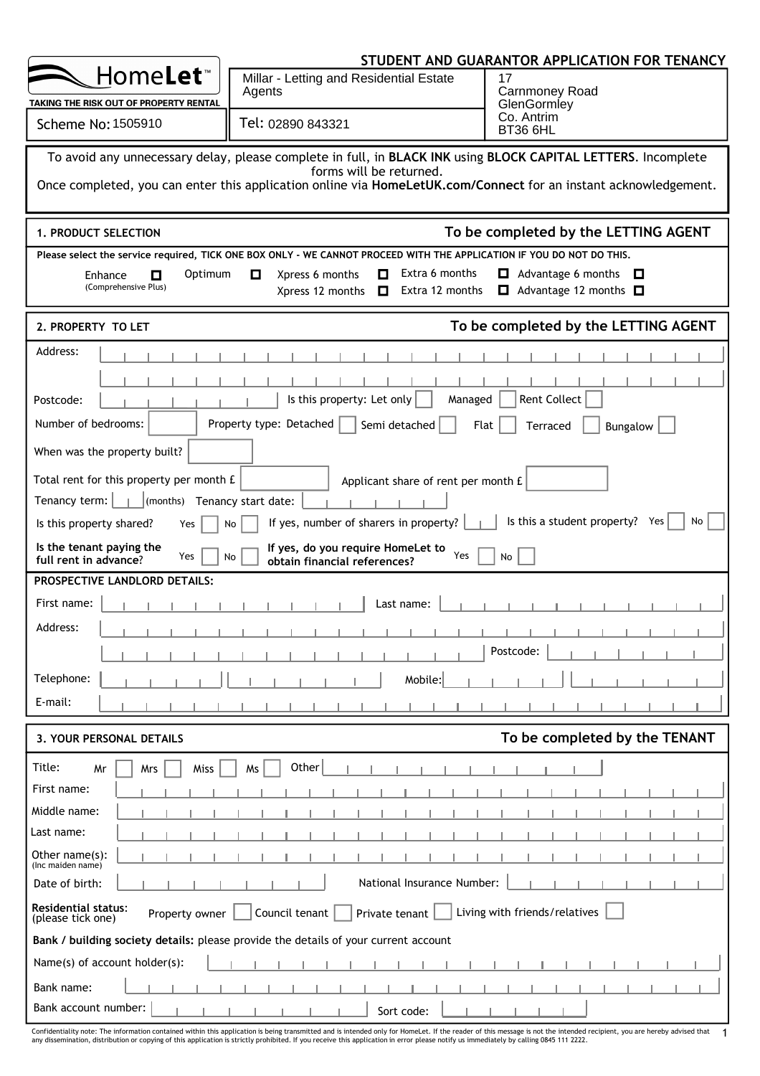|                                                                        |                                                                                                                                            | STUDENT AND GUARANTOR APPLICATION FOR TENANCY                         |
|------------------------------------------------------------------------|--------------------------------------------------------------------------------------------------------------------------------------------|-----------------------------------------------------------------------|
| Home <b>Let</b> ™                                                      | Millar - Letting and Residential Estate<br>Agents                                                                                          | 17<br>Carnmoney Road                                                  |
| TAKING THE RISK OUT OF PROPERTY RENTAL                                 |                                                                                                                                            | GlenGormley                                                           |
| Scheme No: 1505910                                                     | Tel: 02890 843321                                                                                                                          | Co. Antrim<br><b>BT36 6HL</b>                                         |
|                                                                        | To avoid any unnecessary delay, please complete in full, in BLACK INK using BLOCK CAPITAL LETTERS. Incomplete                              |                                                                       |
|                                                                        | forms will be returned.<br>Once completed, you can enter this application online via HomeLetUK.com/Connect for an instant acknowledgement. |                                                                       |
| 1. PRODUCT SELECTION                                                   |                                                                                                                                            | To be completed by the LETTING AGENT                                  |
|                                                                        | Please select the service required, TICK ONE BOX ONLY - WE CANNOT PROCEED WITH THE APPLICATION IF YOU DO NOT DO THIS.                      |                                                                       |
| Optimum<br>Enhance<br>0<br>(Comprehensive Plus)                        | Extra 6 months<br>Xpress 6 months<br>O<br>0<br>Extra 12 months<br>Xpress 12 months<br>0                                                    | $\Box$ Advantage 6 months<br>O<br>Advantage 12 months $\square$<br>О. |
| 2. PROPERTY TO LET                                                     |                                                                                                                                            | To be completed by the LETTING AGENT                                  |
| Address:                                                               |                                                                                                                                            |                                                                       |
|                                                                        |                                                                                                                                            |                                                                       |
| Postcode:                                                              | Is this property: Let only<br>Managed                                                                                                      | <b>Rent Collect</b>                                                   |
| Number of bedrooms:                                                    | Property type: Detached<br>Semi detached                                                                                                   | Flat<br>Terraced<br>Bungalow                                          |
| When was the property built?                                           |                                                                                                                                            |                                                                       |
| Total rent for this property per month £                               | Applicant share of rent per month £                                                                                                        |                                                                       |
| Tenancy term: $\boxed{\phantom{a} \quad}$ (months) Tenancy start date: |                                                                                                                                            |                                                                       |
| Is this property shared?<br>Yes                                        | If yes, number of sharers in property?<br>No                                                                                               | Is this a student property? Yes<br>No                                 |
| Is the tenant paying the<br>Yes<br>full rent in advance?               | If yes, do you require HomeLet to<br>Yes<br>No<br>obtain financial references?                                                             | No                                                                    |
| <b>PROSPECTIVE LANDLORD DETAILS:</b>                                   |                                                                                                                                            |                                                                       |
| First name:                                                            | Last name:                                                                                                                                 |                                                                       |
| Address:                                                               |                                                                                                                                            |                                                                       |
|                                                                        |                                                                                                                                            | Postcode:                                                             |
| Telephone:                                                             | Mobile:                                                                                                                                    |                                                                       |
| E-mail:                                                                |                                                                                                                                            |                                                                       |
|                                                                        |                                                                                                                                            |                                                                       |
| 3. YOUR PERSONAL DETAILS                                               |                                                                                                                                            | To be completed by the TENANT                                         |
| Title:<br>Mr<br>Mrs<br>Miss                                            | Other<br>Ms                                                                                                                                |                                                                       |
| First name:                                                            |                                                                                                                                            |                                                                       |
| Middle name:                                                           |                                                                                                                                            |                                                                       |
| Last name:                                                             |                                                                                                                                            |                                                                       |
| Other name(s):<br>(Inc maiden name)                                    |                                                                                                                                            |                                                                       |
| Date of birth:                                                         | National Insurance Number:                                                                                                                 |                                                                       |
| <b>Residential status:</b><br>Property owner<br>(please tick one)      | Council tenant<br>Private tenant                                                                                                           | Living with friends/relatives                                         |
|                                                                        | Bank / building society details: please provide the details of your current account                                                        |                                                                       |
| Name(s) of account holder(s):                                          |                                                                                                                                            |                                                                       |
| Bank name:<br>Bank account number:                                     |                                                                                                                                            |                                                                       |
|                                                                        | Sort code:                                                                                                                                 |                                                                       |

Confidentiality note: The information contained within this application is being transmitted and is intended only for HomeLet. If the reader of this message is not the intended recipient, you are hereby advised that<br>any di 1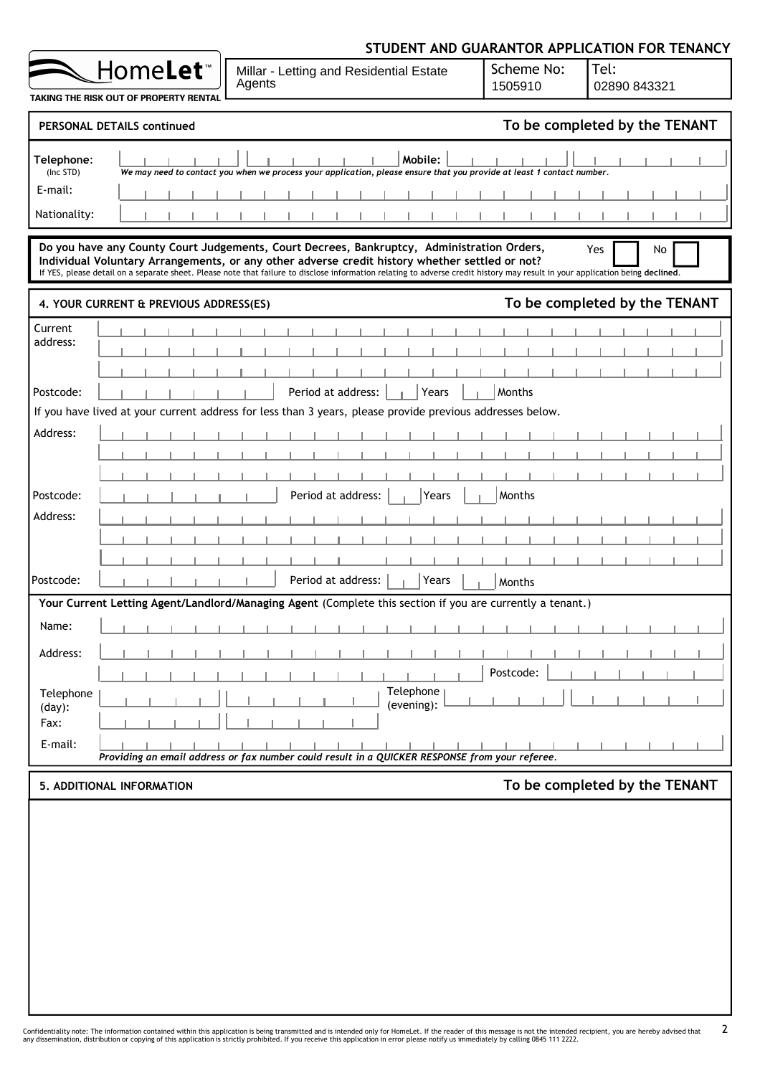|                                                                         | STUDENT AND GUARANTOR APPLICATION FOR TENANCY               |                                                                                                                                                                                                                                                                                                                                                                               |                         |                       |                               |  |  |  |  |  |  |  |  |
|-------------------------------------------------------------------------|-------------------------------------------------------------|-------------------------------------------------------------------------------------------------------------------------------------------------------------------------------------------------------------------------------------------------------------------------------------------------------------------------------------------------------------------------------|-------------------------|-----------------------|-------------------------------|--|--|--|--|--|--|--|--|
|                                                                         | Home <b>Let</b> ™<br>TAKING THE RISK OUT OF PROPERTY RENTAL | Millar - Letting and Residential Estate<br>Agents                                                                                                                                                                                                                                                                                                                             |                         | Scheme No:<br>1505910 | Tel:<br>02890 843321          |  |  |  |  |  |  |  |  |
|                                                                         | <b>PERSONAL DETAILS continued</b>                           |                                                                                                                                                                                                                                                                                                                                                                               |                         |                       | To be completed by the TENANT |  |  |  |  |  |  |  |  |
| Telephone:<br>(Inc STD)<br>E-mail:<br>Nationality:                      |                                                             | We may need to contact you when we process your application, please ensure that you provide at least 1 contact number.                                                                                                                                                                                                                                                        | Mobile:                 |                       |                               |  |  |  |  |  |  |  |  |
|                                                                         |                                                             | Do you have any County Court Judgements, Court Decrees, Bankruptcy, Administration Orders,<br>Individual Voluntary Arrangements, or any other adverse credit history whether settled or not?<br>If YES, please detail on a separate sheet. Please note that failure to disclose information relating to adverse credit history may result in your application being declined. |                         |                       | Yes<br>No                     |  |  |  |  |  |  |  |  |
| To be completed by the TENANT<br>4. YOUR CURRENT & PREVIOUS ADDRESS(ES) |                                                             |                                                                                                                                                                                                                                                                                                                                                                               |                         |                       |                               |  |  |  |  |  |  |  |  |
| Current<br>address:                                                     |                                                             |                                                                                                                                                                                                                                                                                                                                                                               |                         |                       |                               |  |  |  |  |  |  |  |  |
| Postcode:                                                               |                                                             | Period at address:                                                                                                                                                                                                                                                                                                                                                            | Years                   | <b>Months</b>         |                               |  |  |  |  |  |  |  |  |
|                                                                         |                                                             | If you have lived at your current address for less than 3 years, please provide previous addresses below.                                                                                                                                                                                                                                                                     |                         |                       |                               |  |  |  |  |  |  |  |  |
| Address:                                                                |                                                             |                                                                                                                                                                                                                                                                                                                                                                               |                         |                       |                               |  |  |  |  |  |  |  |  |
| Postcode:                                                               |                                                             | Period at address:                                                                                                                                                                                                                                                                                                                                                            | Years                   | Months                |                               |  |  |  |  |  |  |  |  |
| Address:<br>Postcode:                                                   |                                                             | Period at address:                                                                                                                                                                                                                                                                                                                                                            | Years                   | Months                |                               |  |  |  |  |  |  |  |  |
|                                                                         |                                                             | Your Current Letting Agent/Landlord/Managing Agent (Complete this section if you are currently a tenant.)                                                                                                                                                                                                                                                                     |                         |                       |                               |  |  |  |  |  |  |  |  |
| Name:                                                                   |                                                             |                                                                                                                                                                                                                                                                                                                                                                               |                         |                       |                               |  |  |  |  |  |  |  |  |
| Address:                                                                |                                                             |                                                                                                                                                                                                                                                                                                                                                                               |                         | Postcode:             |                               |  |  |  |  |  |  |  |  |
| Telephone<br>$(day)$ :<br>Fax:                                          |                                                             |                                                                                                                                                                                                                                                                                                                                                                               | Telephone<br>(evening): |                       |                               |  |  |  |  |  |  |  |  |
| E-mail:                                                                 |                                                             | Providing an email address or fax number could result in a QUICKER RESPONSE from your referee.                                                                                                                                                                                                                                                                                |                         |                       |                               |  |  |  |  |  |  |  |  |
|                                                                         | 5. ADDITIONAL INFORMATION                                   |                                                                                                                                                                                                                                                                                                                                                                               |                         |                       | To be completed by the TENANT |  |  |  |  |  |  |  |  |
|                                                                         |                                                             |                                                                                                                                                                                                                                                                                                                                                                               |                         |                       |                               |  |  |  |  |  |  |  |  |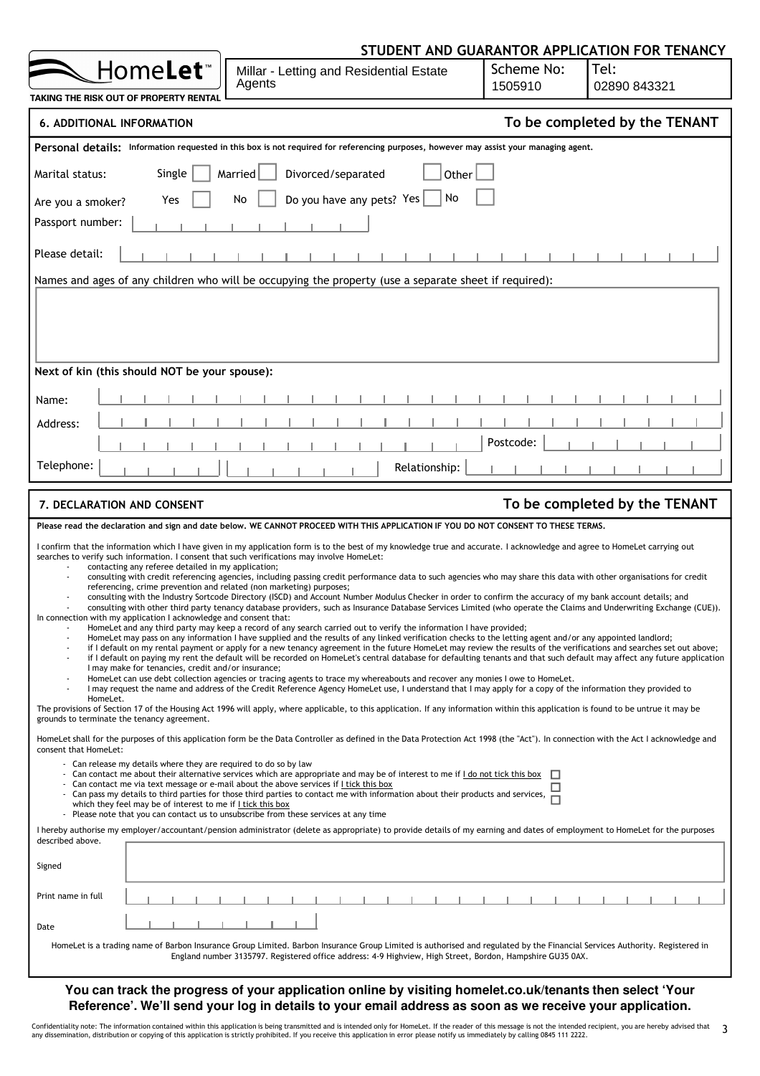|                                                                                                                                                                                                                                                                                               | STUDENT AND GUARANTOR APPLICATION FOR TENANCY                                                                                                                                                                                                                                                                                                                                                                                                                                                                                                                                                                                                                                                                                                                                                                                                                                                                                                                                                                                                                                                                                                                                                                                                                                                                                                                                                                                                                                                                                                                                                                                                                                                                                                                                                                                                                                                                                                       |                       |                               |
|-----------------------------------------------------------------------------------------------------------------------------------------------------------------------------------------------------------------------------------------------------------------------------------------------|-----------------------------------------------------------------------------------------------------------------------------------------------------------------------------------------------------------------------------------------------------------------------------------------------------------------------------------------------------------------------------------------------------------------------------------------------------------------------------------------------------------------------------------------------------------------------------------------------------------------------------------------------------------------------------------------------------------------------------------------------------------------------------------------------------------------------------------------------------------------------------------------------------------------------------------------------------------------------------------------------------------------------------------------------------------------------------------------------------------------------------------------------------------------------------------------------------------------------------------------------------------------------------------------------------------------------------------------------------------------------------------------------------------------------------------------------------------------------------------------------------------------------------------------------------------------------------------------------------------------------------------------------------------------------------------------------------------------------------------------------------------------------------------------------------------------------------------------------------------------------------------------------------------------------------------------------------|-----------------------|-------------------------------|
| Home <b>Let</b> ™                                                                                                                                                                                                                                                                             | Millar - Letting and Residential Estate<br>Agents                                                                                                                                                                                                                                                                                                                                                                                                                                                                                                                                                                                                                                                                                                                                                                                                                                                                                                                                                                                                                                                                                                                                                                                                                                                                                                                                                                                                                                                                                                                                                                                                                                                                                                                                                                                                                                                                                                   | Scheme No:<br>1505910 | Tel:<br>02890 843321          |
| TAKING THE RISK OUT OF PROPERTY RENTAL                                                                                                                                                                                                                                                        |                                                                                                                                                                                                                                                                                                                                                                                                                                                                                                                                                                                                                                                                                                                                                                                                                                                                                                                                                                                                                                                                                                                                                                                                                                                                                                                                                                                                                                                                                                                                                                                                                                                                                                                                                                                                                                                                                                                                                     |                       |                               |
| <b>6. ADDITIONAL INFORMATION</b>                                                                                                                                                                                                                                                              |                                                                                                                                                                                                                                                                                                                                                                                                                                                                                                                                                                                                                                                                                                                                                                                                                                                                                                                                                                                                                                                                                                                                                                                                                                                                                                                                                                                                                                                                                                                                                                                                                                                                                                                                                                                                                                                                                                                                                     |                       | To be completed by the TENANT |
|                                                                                                                                                                                                                                                                                               | Personal details: Information requested in this box is not required for referencing purposes, however may assist your managing agent.                                                                                                                                                                                                                                                                                                                                                                                                                                                                                                                                                                                                                                                                                                                                                                                                                                                                                                                                                                                                                                                                                                                                                                                                                                                                                                                                                                                                                                                                                                                                                                                                                                                                                                                                                                                                               |                       |                               |
| Marital status:<br>Single                                                                                                                                                                                                                                                                     | Divorced/separated<br>Married<br>Other                                                                                                                                                                                                                                                                                                                                                                                                                                                                                                                                                                                                                                                                                                                                                                                                                                                                                                                                                                                                                                                                                                                                                                                                                                                                                                                                                                                                                                                                                                                                                                                                                                                                                                                                                                                                                                                                                                              |                       |                               |
| Yes<br>Are you a smoker?                                                                                                                                                                                                                                                                      | No<br>Do you have any pets? Yes<br>No                                                                                                                                                                                                                                                                                                                                                                                                                                                                                                                                                                                                                                                                                                                                                                                                                                                                                                                                                                                                                                                                                                                                                                                                                                                                                                                                                                                                                                                                                                                                                                                                                                                                                                                                                                                                                                                                                                               |                       |                               |
| Passport number:                                                                                                                                                                                                                                                                              |                                                                                                                                                                                                                                                                                                                                                                                                                                                                                                                                                                                                                                                                                                                                                                                                                                                                                                                                                                                                                                                                                                                                                                                                                                                                                                                                                                                                                                                                                                                                                                                                                                                                                                                                                                                                                                                                                                                                                     |                       |                               |
| Please detail:                                                                                                                                                                                                                                                                                |                                                                                                                                                                                                                                                                                                                                                                                                                                                                                                                                                                                                                                                                                                                                                                                                                                                                                                                                                                                                                                                                                                                                                                                                                                                                                                                                                                                                                                                                                                                                                                                                                                                                                                                                                                                                                                                                                                                                                     |                       |                               |
|                                                                                                                                                                                                                                                                                               | Names and ages of any children who will be occupying the property (use a separate sheet if required):                                                                                                                                                                                                                                                                                                                                                                                                                                                                                                                                                                                                                                                                                                                                                                                                                                                                                                                                                                                                                                                                                                                                                                                                                                                                                                                                                                                                                                                                                                                                                                                                                                                                                                                                                                                                                                               |                       |                               |
|                                                                                                                                                                                                                                                                                               |                                                                                                                                                                                                                                                                                                                                                                                                                                                                                                                                                                                                                                                                                                                                                                                                                                                                                                                                                                                                                                                                                                                                                                                                                                                                                                                                                                                                                                                                                                                                                                                                                                                                                                                                                                                                                                                                                                                                                     |                       |                               |
| Next of kin (this should NOT be your spouse):                                                                                                                                                                                                                                                 |                                                                                                                                                                                                                                                                                                                                                                                                                                                                                                                                                                                                                                                                                                                                                                                                                                                                                                                                                                                                                                                                                                                                                                                                                                                                                                                                                                                                                                                                                                                                                                                                                                                                                                                                                                                                                                                                                                                                                     |                       |                               |
| Name:                                                                                                                                                                                                                                                                                         |                                                                                                                                                                                                                                                                                                                                                                                                                                                                                                                                                                                                                                                                                                                                                                                                                                                                                                                                                                                                                                                                                                                                                                                                                                                                                                                                                                                                                                                                                                                                                                                                                                                                                                                                                                                                                                                                                                                                                     |                       |                               |
| Address:                                                                                                                                                                                                                                                                                      |                                                                                                                                                                                                                                                                                                                                                                                                                                                                                                                                                                                                                                                                                                                                                                                                                                                                                                                                                                                                                                                                                                                                                                                                                                                                                                                                                                                                                                                                                                                                                                                                                                                                                                                                                                                                                                                                                                                                                     |                       |                               |
| Telephone:                                                                                                                                                                                                                                                                                    | Relationship:                                                                                                                                                                                                                                                                                                                                                                                                                                                                                                                                                                                                                                                                                                                                                                                                                                                                                                                                                                                                                                                                                                                                                                                                                                                                                                                                                                                                                                                                                                                                                                                                                                                                                                                                                                                                                                                                                                                                       | Postcode:             |                               |
| 7. DECLARATION AND CONSENT                                                                                                                                                                                                                                                                    |                                                                                                                                                                                                                                                                                                                                                                                                                                                                                                                                                                                                                                                                                                                                                                                                                                                                                                                                                                                                                                                                                                                                                                                                                                                                                                                                                                                                                                                                                                                                                                                                                                                                                                                                                                                                                                                                                                                                                     |                       | To be completed by the TENANT |
|                                                                                                                                                                                                                                                                                               | Please read the declaration and sign and date below. WE CANNOT PROCEED WITH THIS APPLICATION IF YOU DO NOT CONSENT TO THESE TERMS.                                                                                                                                                                                                                                                                                                                                                                                                                                                                                                                                                                                                                                                                                                                                                                                                                                                                                                                                                                                                                                                                                                                                                                                                                                                                                                                                                                                                                                                                                                                                                                                                                                                                                                                                                                                                                  |                       |                               |
| contacting any referee detailed in my application;<br>In connection with my application I acknowledge and consent that:                                                                                                                                                                       | I confirm that the information which I have given in my application form is to the best of my knowledge true and accurate. I acknowledge and agree to HomeLet carrying out<br>searches to verify such information. I consent that such verifications may involve HomeLet:<br>consulting with credit referencing agencies, including passing credit performance data to such agencies who may share this data with other organisations for credit<br>referencing, crime prevention and related (non marketing) purposes;<br>consulting with the Industry Sortcode Directory (ISCD) and Account Number Modulus Checker in order to confirm the accuracy of my bank account details; and<br>consulting with other third party tenancy database providers, such as Insurance Database Services Limited (who operate the Claims and Underwriting Exchange (CUE)).                                                                                                                                                                                                                                                                                                                                                                                                                                                                                                                                                                                                                                                                                                                                                                                                                                                                                                                                                                                                                                                                                        |                       |                               |
| I may make for tenancies, credit and/or insurance;<br>HomeLet.<br>grounds to terminate the tenancy agreement.<br>consent that HomeLet:<br>- Can release my details where they are required to do so by law<br>which they feel may be of interest to me if I tick this box<br>described above. | HomeLet and any third party may keep a record of any search carried out to verify the information I have provided;<br>HomeLet may pass on any information I have supplied and the results of any linked verification checks to the letting agent and/or any appointed landlord;<br>if I default on my rental payment or apply for a new tenancy agreement in the future HomeLet may review the results of the verifications and searches set out above;<br>if I default on paying my rent the default will be recorded on HomeLet's central database for defaulting tenants and that such default may affect any future application<br>HomeLet can use debt collection agencies or tracing agents to trace my whereabouts and recover any monies I owe to HomeLet.<br>I may request the name and address of the Credit Reference Agency HomeLet use, I understand that I may apply for a copy of the information they provided to<br>The provisions of Section 17 of the Housing Act 1996 will apply, where applicable, to this application. If any information within this application is found to be untrue it may be<br>HomeLet shall for the purposes of this application form be the Data Controller as defined in the Data Protection Act 1998 (the "Act"). In connection with the Act I acknowledge and<br>- Can contact me about their alternative services which are appropriate and may be of interest to me if I do not tick this box<br>Can contact me via text message or e-mail about the above services if I tick this box<br>- Can pass my details to third parties for those third parties to contact me with information about their products and services,<br>Please note that you can contact us to unsubscribe from these services at any time<br>I hereby authorise my employer/accountant/pension administrator (delete as appropriate) to provide details of my earning and dates of employment to HomeLet for the purposes |                       |                               |
| Signed                                                                                                                                                                                                                                                                                        |                                                                                                                                                                                                                                                                                                                                                                                                                                                                                                                                                                                                                                                                                                                                                                                                                                                                                                                                                                                                                                                                                                                                                                                                                                                                                                                                                                                                                                                                                                                                                                                                                                                                                                                                                                                                                                                                                                                                                     |                       |                               |
| Print name in full                                                                                                                                                                                                                                                                            |                                                                                                                                                                                                                                                                                                                                                                                                                                                                                                                                                                                                                                                                                                                                                                                                                                                                                                                                                                                                                                                                                                                                                                                                                                                                                                                                                                                                                                                                                                                                                                                                                                                                                                                                                                                                                                                                                                                                                     |                       |                               |
| Date                                                                                                                                                                                                                                                                                          |                                                                                                                                                                                                                                                                                                                                                                                                                                                                                                                                                                                                                                                                                                                                                                                                                                                                                                                                                                                                                                                                                                                                                                                                                                                                                                                                                                                                                                                                                                                                                                                                                                                                                                                                                                                                                                                                                                                                                     |                       |                               |
|                                                                                                                                                                                                                                                                                               | HomeLet is a trading name of Barbon Insurance Group Limited. Barbon Insurance Group Limited is authorised and regulated by the Financial Services Authority. Registered in<br>England number 3135797. Registered office address: 4-9 Highview, High Street, Bordon, Hampshire GU35 0AX.                                                                                                                                                                                                                                                                                                                                                                                                                                                                                                                                                                                                                                                                                                                                                                                                                                                                                                                                                                                                                                                                                                                                                                                                                                                                                                                                                                                                                                                                                                                                                                                                                                                             |                       |                               |

## **You can track the progress of your application online by visiting homelet.co.uk/tenants then select 'Your Reference'. We'll send your log in details to your email address as soon as we receive your application.**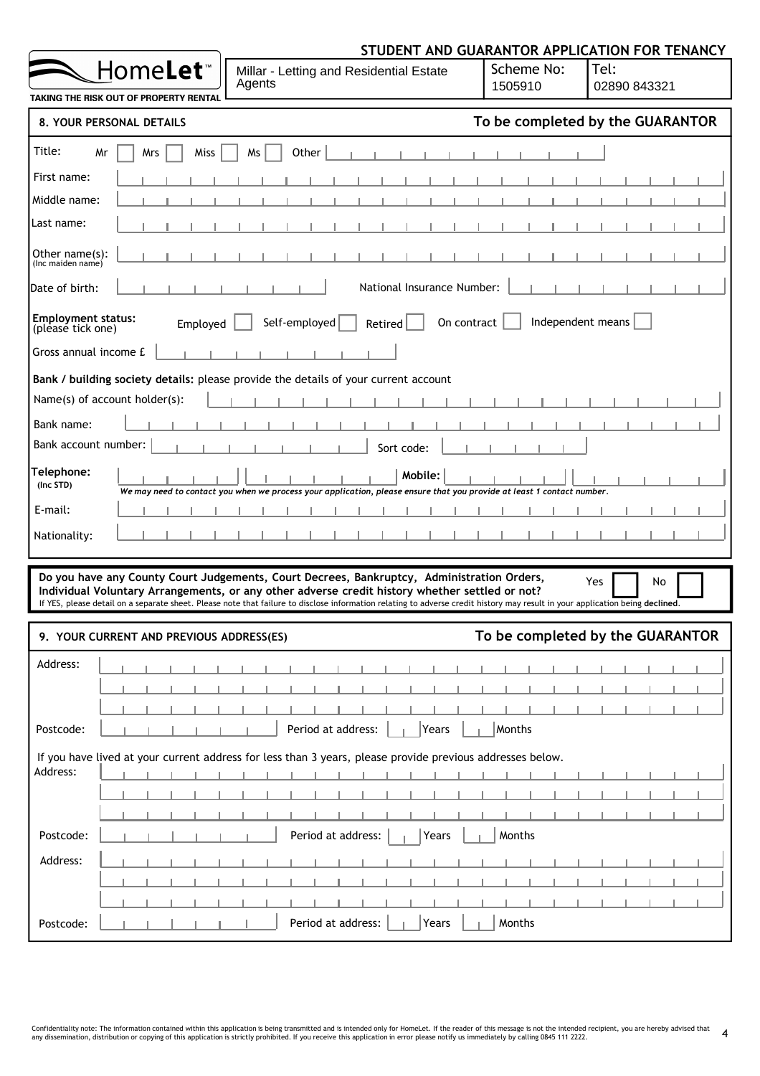|                                                                                                                                                                                                                                                                                                                                                                               |                                  | STUDENT AND GUARANTOR APPLICATION FOR TENANCY |
|-------------------------------------------------------------------------------------------------------------------------------------------------------------------------------------------------------------------------------------------------------------------------------------------------------------------------------------------------------------------------------|----------------------------------|-----------------------------------------------|
| HomeLet <sup>®</sup><br>Millar - Letting and Residential Estate<br>Agents<br>TAKING THE RISK OUT OF PROPERTY RENTAL                                                                                                                                                                                                                                                           | Scheme No:<br>1505910            | Tel:<br>02890 843321                          |
| 8. YOUR PERSONAL DETAILS                                                                                                                                                                                                                                                                                                                                                      |                                  | To be completed by the GUARANTOR              |
|                                                                                                                                                                                                                                                                                                                                                                               |                                  |                                               |
| Title:<br>Miss<br>Other<br>Mr<br>Mrs<br>Ms                                                                                                                                                                                                                                                                                                                                    |                                  |                                               |
| First name:                                                                                                                                                                                                                                                                                                                                                                   |                                  |                                               |
| Middle name:                                                                                                                                                                                                                                                                                                                                                                  |                                  |                                               |
| Last name:                                                                                                                                                                                                                                                                                                                                                                    |                                  |                                               |
| Other $name(s)$ :<br>(Inc maiden name)                                                                                                                                                                                                                                                                                                                                        |                                  |                                               |
| National Insurance Number:<br>Date of birth:                                                                                                                                                                                                                                                                                                                                  |                                  |                                               |
| <b>Employment status:</b><br>Self-employed<br>Employed<br>Retired<br>(please tick one)                                                                                                                                                                                                                                                                                        | Independent means<br>On contract |                                               |
| Gross annual income £                                                                                                                                                                                                                                                                                                                                                         |                                  |                                               |
| Bank / building society details: please provide the details of your current account                                                                                                                                                                                                                                                                                           |                                  |                                               |
| Name(s) of account holder(s):                                                                                                                                                                                                                                                                                                                                                 |                                  |                                               |
| Bank name:                                                                                                                                                                                                                                                                                                                                                                    |                                  |                                               |
| Bank account number:<br>Sort code:                                                                                                                                                                                                                                                                                                                                            |                                  |                                               |
| Telephone:<br>Mobile:<br>(Inc STD)<br>We may need to contact you when we process your application, please ensure that you provide at least 1 contact number.                                                                                                                                                                                                                  |                                  |                                               |
| E-mail:                                                                                                                                                                                                                                                                                                                                                                       |                                  |                                               |
| Nationality:                                                                                                                                                                                                                                                                                                                                                                  |                                  |                                               |
| Do you have any County Court Judgements, Court Decrees, Bankruptcy, Administration Orders,<br>Individual Voluntary Arrangements, or any other adverse credit history whether settled or not?<br>If YES, please detail on a separate sheet. Please note that failure to disclose information relating to adverse credit history may result in your application being declined. |                                  | Yes<br>No                                     |
| 9. YOUR CURRENT AND PREVIOUS ADDRESS(ES)                                                                                                                                                                                                                                                                                                                                      |                                  | To be completed by the GUARANTOR              |
| Address:                                                                                                                                                                                                                                                                                                                                                                      |                                  |                                               |
|                                                                                                                                                                                                                                                                                                                                                                               |                                  |                                               |
|                                                                                                                                                                                                                                                                                                                                                                               |                                  |                                               |
| Period at address:<br>Postcode:<br>Years                                                                                                                                                                                                                                                                                                                                      | Months                           |                                               |
| If you have lived at your current address for less than 3 years, please provide previous addresses below.<br>Address:                                                                                                                                                                                                                                                         |                                  |                                               |
|                                                                                                                                                                                                                                                                                                                                                                               |                                  |                                               |
|                                                                                                                                                                                                                                                                                                                                                                               |                                  |                                               |
| Period at address:<br>Postcode:<br>Years                                                                                                                                                                                                                                                                                                                                      | Months                           |                                               |
| Address:                                                                                                                                                                                                                                                                                                                                                                      |                                  |                                               |
|                                                                                                                                                                                                                                                                                                                                                                               |                                  |                                               |
|                                                                                                                                                                                                                                                                                                                                                                               |                                  |                                               |
| Period at address:<br>Postcode:<br>Years                                                                                                                                                                                                                                                                                                                                      | Months                           |                                               |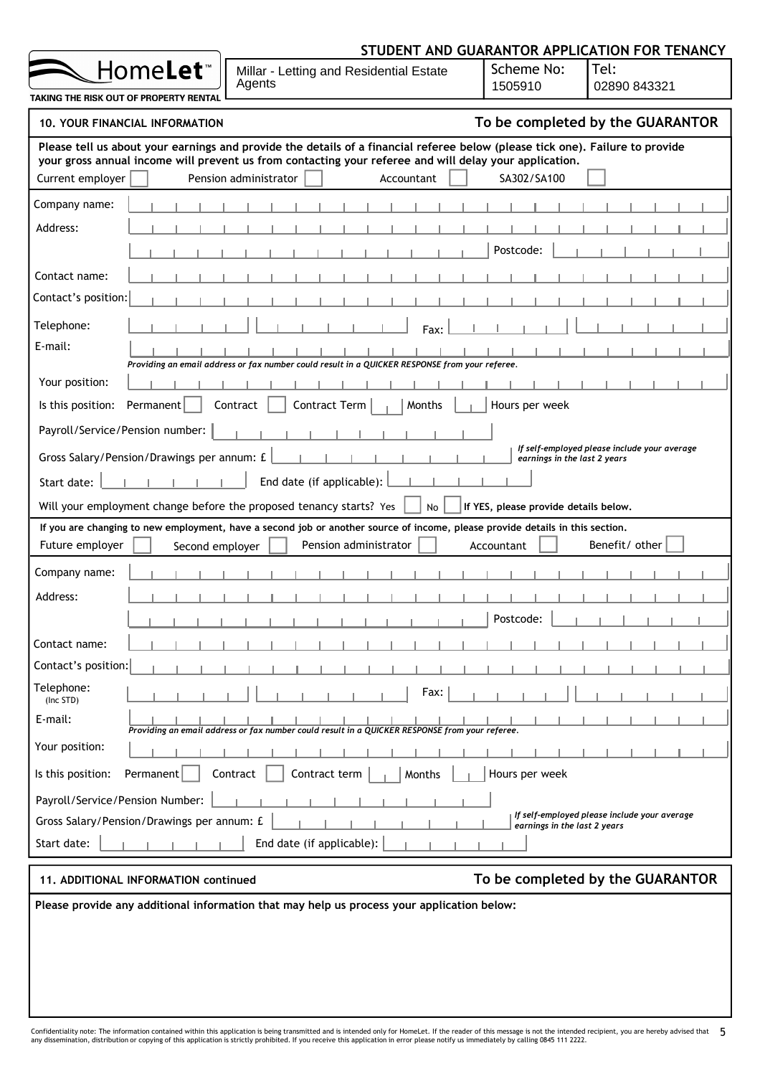| Home <b>Let</b> ™<br>Millar - Letting and Residential Estate<br>Agents<br>TAKING THE RISK OUT OF PROPERTY RENTAL                                                                                                                                                                                   | Scheme No:<br>1505910                 | Tel:<br>02890 843321                         |
|----------------------------------------------------------------------------------------------------------------------------------------------------------------------------------------------------------------------------------------------------------------------------------------------------|---------------------------------------|----------------------------------------------|
| <b>10. YOUR FINANCIAL INFORMATION</b>                                                                                                                                                                                                                                                              |                                       | To be completed by the GUARANTOR             |
| Please tell us about your earnings and provide the details of a financial referee below (please tick one). Failure to provide<br>your gross annual income will prevent us from contacting your referee and will delay your application.<br>Current employer<br>Pension administrator<br>Accountant | SA302/SA100                           |                                              |
| Company name:                                                                                                                                                                                                                                                                                      |                                       |                                              |
| Address:                                                                                                                                                                                                                                                                                           |                                       |                                              |
|                                                                                                                                                                                                                                                                                                    | Postcode:                             |                                              |
| Contact name:                                                                                                                                                                                                                                                                                      |                                       |                                              |
| Contact's position:                                                                                                                                                                                                                                                                                |                                       |                                              |
| Telephone:<br>Fax:                                                                                                                                                                                                                                                                                 |                                       |                                              |
| E-mail:                                                                                                                                                                                                                                                                                            |                                       |                                              |
| Providing an email address or fax number could result in a QUICKER RESPONSE from your referee.<br>Your position:                                                                                                                                                                                   |                                       |                                              |
| Contract<br>Is this position:<br>Permanent<br>Contract Term<br>Months                                                                                                                                                                                                                              | Hours per week                        |                                              |
| Payroll/Service/Pension number:                                                                                                                                                                                                                                                                    |                                       |                                              |
| Gross Salary/Pension/Drawings per annum: £                                                                                                                                                                                                                                                         |                                       | If self-employed please include your average |
|                                                                                                                                                                                                                                                                                                    | earnings in the last 2 years          |                                              |
| End date (if applicable):<br>Start date:                                                                                                                                                                                                                                                           |                                       |                                              |
| Will your employment change before the proposed tenancy starts? Yes<br><b>No</b><br>If you are changing to new employment, have a second job or another source of income, please provide details in this section.                                                                                  | If YES, please provide details below. |                                              |
| Pension administrator<br>Future employer<br>Second employer                                                                                                                                                                                                                                        | Accountant                            | Benefit/ other                               |
| Company name:                                                                                                                                                                                                                                                                                      |                                       |                                              |
| Address:                                                                                                                                                                                                                                                                                           |                                       |                                              |
|                                                                                                                                                                                                                                                                                                    | Postcode:                             |                                              |
| Contact name:                                                                                                                                                                                                                                                                                      |                                       |                                              |
| Contact's position:                                                                                                                                                                                                                                                                                |                                       |                                              |
| Telephone:<br>Fax:<br>(Inc STD)                                                                                                                                                                                                                                                                    |                                       |                                              |
| E-mail:<br>Providing an email address or fax number could result in a QUICKER RESPONSE from your referee.                                                                                                                                                                                          |                                       |                                              |
| Your position:                                                                                                                                                                                                                                                                                     |                                       |                                              |
| Contract<br>Contract term<br>Is this position:<br>Permanent<br>Months                                                                                                                                                                                                                              | Hours per week                        |                                              |
| Payroll/Service/Pension Number:                                                                                                                                                                                                                                                                    |                                       |                                              |
| Gross Salary/Pension/Drawings per annum: £                                                                                                                                                                                                                                                         | earnings in the last 2 years          | If self-employed please include your average |
| End date (if applicable):<br>Start date:                                                                                                                                                                                                                                                           |                                       |                                              |
| 11. ADDITIONAL INFORMATION continued                                                                                                                                                                                                                                                               |                                       | To be completed by the GUARANTOR             |
| Please provide any additional information that may help us process your application below:                                                                                                                                                                                                         |                                       |                                              |

STUDENT AND GUARANTOR APPLICATION FOR TENANCY